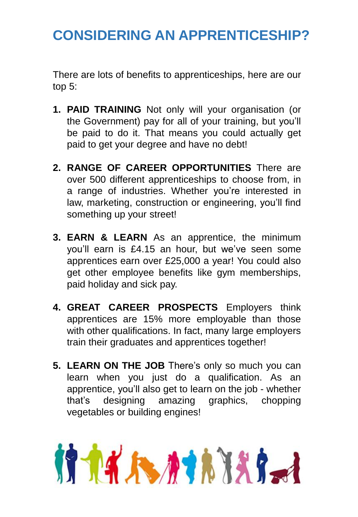# **CONSIDERING AN APPRENTICESHIP?**

There are lots of benefits to apprenticeships, here are our top 5:

- **1. PAID TRAINING** Not only will your organisation (or the Government) pay for all of your training, but you'll be paid to do it. That means you could actually get paid to get your degree and have no debt!
- **2. RANGE OF CAREER OPPORTUNITIES** There are over 500 different apprenticeships to choose from, in a range of industries. Whether you're interested in law, marketing, construction or engineering, you'll find something up your street!
- **3. EARN & LEARN** As an apprentice, the minimum you'll earn is £4.15 an hour, but we've seen some apprentices earn over £25,000 a year! You could also get other employee benefits like gym memberships, paid holiday and sick pay.
- **4. GREAT CAREER PROSPECTS** Employers think apprentices are 15% more employable than those with other qualifications. In fact, many large employers train their graduates and apprentices together!
- **5. LEARN ON THE JOB** There's only so much you can learn when you just do a qualification. As an apprentice, you'll also get to learn on the job - whether that's designing amazing graphics, chopping vegetables or building engines!

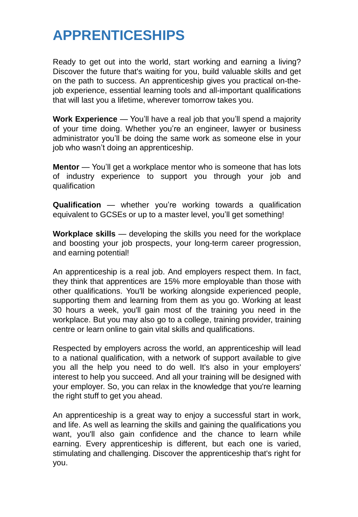# **APPRENTICESHIPS**

Ready to get out into the world, start working and earning a living? Discover the future that's waiting for you, build valuable skills and get on the path to success. An apprenticeship gives you practical on-thejob experience, essential learning tools and all-important qualifications that will last you a lifetime, wherever tomorrow takes you.

**Work Experience** — You'll have a real job that you'll spend a majority of your time doing. Whether you're an engineer, lawyer or business administrator you'll be doing the same work as someone else in your job who wasn't doing an apprenticeship.

**Mentor** — You'll get a workplace mentor who is someone that has lots of industry experience to support you through your job and qualification

**Qualification** — whether you're working towards a qualification equivalent to GCSEs or up to a master level, you'll get something!

**Workplace skills** — developing the skills you need for the workplace and boosting your job prospects, your long-term career progression, and earning potential!

An apprenticeship is a real job. And employers respect them. In fact, they think that apprentices are 15% more employable than those with other qualifications. You'll be working alongside experienced people, supporting them and learning from them as you go. Working at least 30 hours a week, you'll gain most of the training you need in the workplace. But you may also go to a college, training provider, training centre or learn online to gain vital skills and qualifications.

Respected by employers across the world, an apprenticeship will lead to a national qualification, with a network of support available to give you all the help you need to do well. It's also in your employers' interest to help you succeed. And all your training will be designed with your employer. So, you can relax in the knowledge that you're learning the right stuff to get you ahead.

An apprenticeship is a great way to enjoy a successful start in work, and life. As well as learning the skills and gaining the qualifications you want, you'll also gain confidence and the chance to learn while earning. Every apprenticeship is different, but each one is varied, stimulating and challenging. Discover the apprenticeship that's right for you.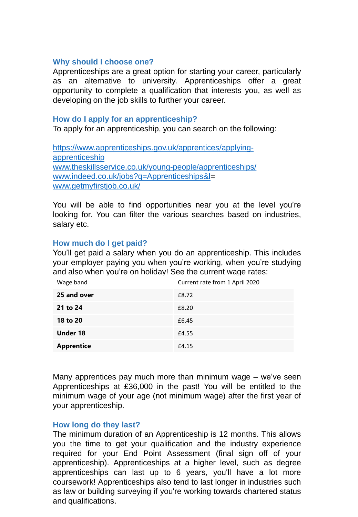## **Why should I choose one?**

Apprenticeships are a great option for starting your career, particularly as an alternative to university. Apprenticeships offer a great opportunity to complete a qualification that interests you, as well as developing on the job skills to further your career.

## **How do I apply for an apprenticeship?**

To apply for an apprenticeship, you can search on the following:

[https://www.apprenticeships.gov.uk/apprentices/applying](https://www.apprenticeships.gov.uk/apprentices/applying-apprenticeship)apprenticeship [www.theskillsservice.co.uk/young-people/apprenticeships/](http://www.theskillsservice.co.uk/young-people/apprenticeships/) [www.indeed.co.uk/jobs?q=Apprenticeships&l=](http://www.indeed.co.uk/jobs?q=Apprenticeships&l) [www.getmyfirstjob.co.uk/](http://www.getmyfirstjob.co.uk/)

You will be able to find opportunities near you at the level you're looking for. You can filter the various searches based on industries, salary etc.

## **How much do I get paid?**

You'll get paid a salary when you do an apprenticeship. This includes your employer paying you when you're working, when you're studying and also when you're on holiday! See the current wage rates:

| Wage band         | Current rate from 1 April 2020 |
|-------------------|--------------------------------|
| 25 and over       | £8.72                          |
| 21 to 24          | £8.20                          |
| 18 to 20          | £6.45                          |
| <b>Under 18</b>   | £4.55                          |
| <b>Apprentice</b> | £4.15                          |

Many apprentices pay much more than minimum wage – we've seen Apprenticeships at £36,000 in the past! You will be entitled to the minimum wage of your age (not minimum wage) after the first year of your apprenticeship.

#### **How long do they last?**

The minimum duration of an Apprenticeship is 12 months. This allows you the time to get your qualification and the industry experience required for your End Point Assessment (final sign off of your apprenticeship). Apprenticeships at a higher level, such as degree apprenticeships can last up to 6 years, you'll have a lot more coursework! Apprenticeships also tend to last longer in industries such as law or building surveying if you're working towards chartered status and qualifications.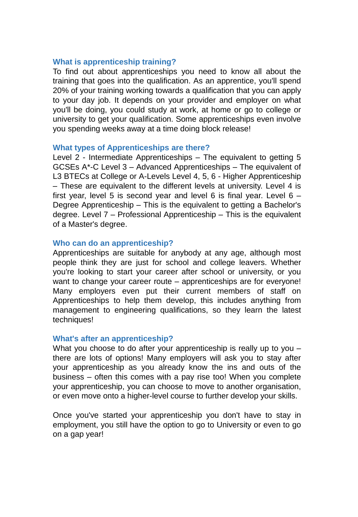## **What is apprenticeship training?**

To find out about apprenticeships you need to know all about the training that goes into the qualification. As an apprentice, you'll spend 20% of your training working towards a qualification that you can apply to your day job. It depends on your provider and employer on what you'll be doing, you could study at work, at home or go to college or university to get your qualification. Some apprenticeships even involve you spending weeks away at a time doing block release!

#### **What types of Apprenticeships are there?**

Level 2 - Intermediate Apprenticeships – The equivalent to getting 5 GCSEs A\*-C Level 3 – Advanced Apprenticeships – The equivalent of L3 BTECs at College or A-Levels Level 4, 5, 6 - Higher Apprenticeship – These are equivalent to the different levels at university. Level 4 is first year, level 5 is second year and level 6 is final year. Level  $6 -$ Degree Apprenticeship – This is the equivalent to getting a Bachelor's degree. Level 7 – Professional Apprenticeship – This is the equivalent of a Master's degree.

#### **Who can do an apprenticeship?**

Apprenticeships are suitable for anybody at any age, although most people think they are just for school and college leavers. Whether you're looking to start your career after school or university, or you want to change your career route – apprenticeships are for everyone! Many employers even put their current members of staff on Apprenticeships to help them develop, this includes anything from management to engineering qualifications, so they learn the latest techniques!

#### **What's after an apprenticeship?**

What you choose to do after your apprenticeship is really up to you – there are lots of options! Many employers will ask you to stay after your apprenticeship as you already know the ins and outs of the business – often this comes with a pay rise too! When you complete your apprenticeship, you can choose to move to another organisation, or even move onto a higher-level course to further develop your skills.

Once you've started your apprenticeship you don't have to stay in employment, you still have the option to go to University or even to go on a gap year!